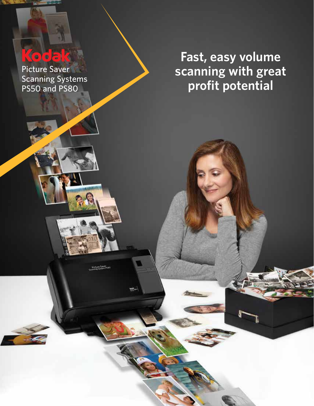# **COOR**

Picture Saver Scanning Systems PS50 and PS80

**Fast, easy volume scanning with great profit potential**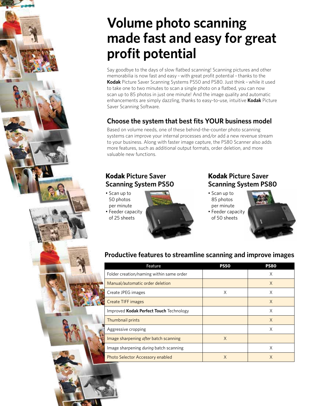# **Volume photo scanning made fast and easy for great profit potential**

Say goodbye to the days of slow flatbed scanning! Scanning pictures and other memorabilia is now fast and easy – with great profit potential – thanks to the **Kodak** Picture Saver Scanning Systems PS50 and PS80. Just think – while it used to take one to two minutes to scan a single photo on a flatbed, you can now scan up to 85 photos in just one minute! And the image quality and automatic enhancements are simply dazzling, thanks to easy-to-use, intuitive **Kodak** Picture Saver Scanning Software.

### **Choose the system that best fits YOUR business model**

Based on volume needs, one of these behind-the-counter photo scanning systems can improve your internal processes and/or add a new revenue stream to your business. Along with faster image capture, the PS80 Scanner also adds more features, such as additional output formats, order deletion, and more valuable new functions.

#### **Kodak Picture Saver Scanning System PS50**

- Scan up to 50 photos per minute
- Feeder capacity of 25 sheets



#### **Kodak Picture Saver Scanning System PS80**

- Scan up to 85 photos per minute
- Feeder capacity of 50 sheets



# **Productive features to streamline scanning and improve images**

| Feature                                  | <b>PS50</b> | <b>PS80</b> |
|------------------------------------------|-------------|-------------|
| Folder creation/naming within same order |             | X           |
| Manual/automatic order deletion          |             | X           |
| Create JPEG images                       | X           | X           |
| <b>Create TIFF images</b>                |             | X           |
| Improved Kodak Perfect Touch Technology  |             | X           |
| Thumbnail prints                         |             | X           |
| Aggressive cropping                      |             | X           |
| Image sharpening after batch scanning    | X           |             |
| Image sharpening during batch scanning   |             | X           |
| <b>Photo Selector Accessory enabled</b>  | Χ           | X           |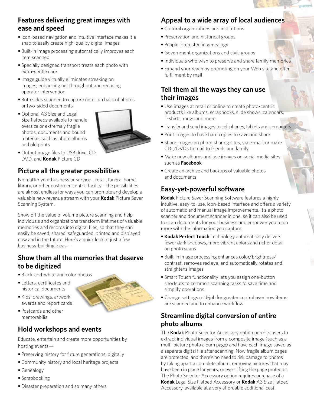#### **Features delivering great images with ease and speed**

- Icon-based navigation and intuitive interface makes it a snap to easily create high-quality digital images
- Built-in image processing automatically improves each item scanned
- Specially designed transport treats each photo with extra-gentle care
- Image guide virtually eliminates streaking on images, enhancing net throughput and reducing operator intervention
- Both sides scanned to capture notes on back of photos or two-sided documents
- Optional A3 Size and Legal Size flatbeds available to handle oversize or extremely fragile photos, documents and bound materials such as photo albums and old prints



**•** Output image files to USB drive, CD, DVD, and **Kodak** Picture CD

# **Picture all the greater possibilities**

No matter your business or service – retail, funeral home, library, or other customer-centric facility – the possibilities are almost endless for ways you can promote and develop a valuable new revenue stream with your **Kodak** Picture Saver Scanning System.

Show off the value of volume picture scanning and help individuals and organizations transform lifetimes of valuable memories and records into digital files, so that they can easily be saved, shared, safeguarded, printed and displayed now and in the future. Here's a quick look at just a few business-building ideas —

#### **Show them all the memories that deserve to be digitized**

- Black-and-white and color photos
- Letters, certificates and historical documents
- Kids' drawings, artwork, awards and report cards
- Postcards and other memorabilia

# **Hold workshops and events**

Educate, entertain and create more opportunities by hosting events —

- Preserving history for future generations, digitally
- Community history and local heritage projects
- Genealogy
- Scrapbooking
- Disaster preparation and so many others

# **Appeal to a wide array of local audiences**

- Cultural organizations and institutions
- Preservation and historical groups
- People interested in genealogy
- Government organizations and civic groups
- Individuals who wish to preserve and share family memories
- Expand your reach by promoting on your Web site and offer fulfillment by mail

#### **Tell them all the ways they can use their images**

- Use images at retail or online to create photo-centric products like albums, scrapbooks, slide shows, calendars, T-shirts, mugs and more
- Transfer and send images to cell phones, tablets and computers
- Print images to have hard copies to save and share
- Share images on photo sharing sites, via e-mail, or make CDs/DVDs to mail to friends and family
- Make new albums and use images on social media sites such as **Facebook**
- Create an archive and backups of valuable photos and documents

# **Easy-yet-powerful software**

**Kodak** Picture Saver Scanning Software features a highly intuitive, easy-to-use, icon-based interface and offers a variety of automatic and manual image improvements. It's a photo scanner and document scanner in one, so it can also be used to scan documents for your business and empower you to do more with the information you capture.

- **Kodak Perfect Touch** Technology automatically delivers fewer dark shadows, more vibrant colors and richer detail on photo scans
- Built-in image processing enhances color/brightness/ contrast, removes red eye, and automatically rotates and straightens images
- Smart Touch functionality lets you assign one-button shortcuts to common scanning tasks to save time and simplify operations
- Change settings mid-job for greater control over how items are scanned and to enhance workflow

### **Streamline digital conversion of entire photo albums**

The **Kodak** Photo Selector Accessory option permits users to extract individual images from a composite image (such as a multi-picture photo album page) and have each image saved as a separate digital file after scanning. Now fragile album pages are protected, and there's no need to risk damage to photos by taking apart a complete album, removing pictures that may have been in place for years, or even lifting the page protector. The Photo Selector Accessory option requires purchase of a **Kodak** Legal Size Flatbed Accessory or **Kodak** A3 Size Flatbed Accessory, available at a very affordable additional cost.